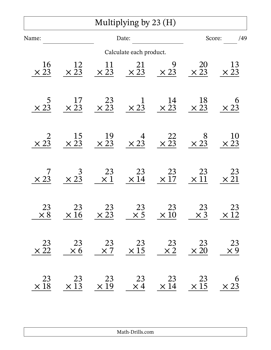|                          |                        |                                                | Multiplying by $23(H)$  |                                                |                                               |                   |
|--------------------------|------------------------|------------------------------------------------|-------------------------|------------------------------------------------|-----------------------------------------------|-------------------|
| Name:                    |                        | Date:                                          |                         |                                                | Score:<br>/49                                 |                   |
|                          |                        |                                                | Calculate each product. |                                                |                                               |                   |
| <b>16</b><br>$\times 23$ | 12<br>$\times 23$      | $\frac{11}{\times 23}$                         | $\times \frac{21}{23}$  | 9<br>$\times 23$                               | <b>20</b><br>$\times 23$                      | 13<br>$\times 23$ |
| $\times 23$              | 17<br>$\times 23$      | $\times \frac{23}{23}$                         | $\times 23$             | $\frac{14}{\times 23}$                         | 18<br>$\times 23$                             | 6<br>$\times 23$  |
| $\times 2\overline{3}$   | 15<br>$\times 23$      | $\times \frac{19}{23}$                         | $\times 23$             | $\times\frac{22}{23}$                          | $\begin{array}{c} 8 \\ \times 23 \end{array}$ | 10<br>$\times 23$ |
| $\times 23$              | $\times 23$            | $\begin{array}{c} 23 \\ \times 1 \end{array}$  | 23<br>$\times$ 14       | 23<br>$\times 17$                              | 23<br>$\times\,11$                            | 23<br>$\times 21$ |
| 23<br>$\times 8$         | $\frac{23}{\times 16}$ | $\begin{array}{r} 23 \\ \times 23 \end{array}$ | $\frac{23}{\times 5}$   | $\begin{array}{r} 23 \\ \times 10 \end{array}$ | $\frac{23}{\times 3}$                         | 23<br>$\times$ 12 |
| 23<br>$\times 22$        | 23<br>$\times 6$       | 23<br>$\times 7$                               | 23<br>$\times$ 15       | 23<br>$\times 2$                               | 23<br>$\times 20$                             | 23<br>$\times 9$  |
| 23<br>$\times 18$        | 23<br>$\times$ 13      | 23<br>$\times$ 19                              | 23<br>$\times$ 4        | 23<br>$\times 14$                              | 23<br>$\times$ 15                             | 6<br>$\times 23$  |